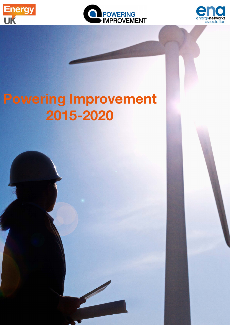





# Powering Improvement 2015-2020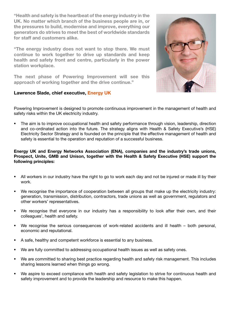"Health and safety is the heartbeat of the energy industry in the UK. No matter which branch of the business people are in, or the pressures to build, modernise and improve, everything our generators do strives to meet the best of worldwide standards for staff and customers alike.

"The energy industry does not want to stop there. We must continue to work together to drive up standards and keep health and safety front and centre, particularly in the power station workplace.

The next phase of Powering Improvement will see this approach of working together and the drive continue."

#### Lawrence Slade, chief executive, Energy UK



Powering Improvement is designed to promote continuous improvement in the management of health and safety risks within the UK electricity industry.

 The aim is to improve occupational health and safety performance through vision, leadership, direction and co-ordinated action into the future. The strategy aligns with Health & Safety Executive's (HSE) Electricity Sector Strategy and is founded on the principle that the effective management of health and safety is essential to the operation and reputation of a successful business.

#### Energy UK and Energy Networks Association (ENA), companies and the industry's trade unions, Prospect, Unite, GMB and Unison, together with the Health & Safety Executive (HSE) support the following principles:

- All workers in our industry have the right to go to work each day and not be injured or made ill by their work.
- We recognise the importance of cooperation between all groups that make up the electricity industry: generation, transmission, distribution, contractors, trade unions as well as government, regulators and other workers' representatives.
- We recognise that everyone in our industry has a responsibility to look after their own, and their colleagues', health and safety.
- We recognise the serious consequences of work-related accidents and ill health both personal, economic and reputational.
- A safe, healthy and competent workforce is essential to any business.
- We are fully committed to addressing occupational health issues as well as safety ones.
- We are committed to sharing best practice regarding health and safety risk management. This includes sharing lessons learned when things go wrong.
- We aspire to exceed compliance with health and safety legislation to strive for continuous health and safety improvement and to provide the leadership and resource to make this happen.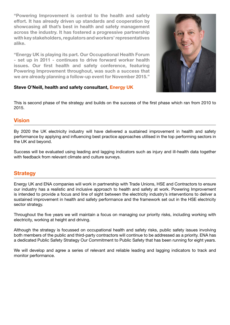"Powering Improvement is central to the health and safety effort. It has already driven up standards and cooperation by showcasing all that's best in health and safety management across the industry. It has fostered a progressive partnership with key stakeholders, regulators and workers' representatives alike.

"Energy UK is playing its part. Our Occupational Health Forum - set up in 2011 - continues to drive forward worker health issues. Our first health and safety conference, featuring Powering Improvement throughout, was such a success that we are already planning a follow-up event for November 2015."



#### Steve O'Neill, health and safety consultant, Energy UK

This is second phase of the strategy and builds on the success of the first phase which ran from 2010 to 2015.

### Vision

By 2020 the UK electricity industry will have delivered a sustained improvement in health and safety performance by applying and influencing best practice approaches utilised in the top performing sectors in the UK and beyond.

Success will be evaluated using leading and lagging indicators such as injury and ill-health data together with feedback from relevant climate and culture surveys.

## **Strategy**

Energy UK and ENA companies will work in partnership with Trade Unions, HSE and Contractors to ensure our industry has a realistic and inclusive approach to health and safety at work. Powering Improvement is intended to provide a focus and line of sight between the electricity industry's interventions to deliver a sustained improvement in health and safety performance and the framework set out in the HSE electricity sector strategy.

Throughout the five years we will maintain a focus on managing our priority risks, including working with electricity, working at height and driving.

Although the strategy is focussed on occupational health and safety risks, public safety issues involving both members of the public and third-party contractors will continue to be addressed as a priority. ENA has a dedicated Public Safety Strategy Our Commitment to Public Safety that has been running for eight years.

We will develop and agree a series of relevant and reliable leading and lagging indicators to track and monitor performance.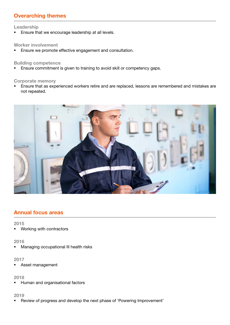# Overarching themes

#### Leadership

**Ensure that we encourage leadership at all levels.** 

#### Worker involvement

**Ensure we promote effective engagement and consultation.** 

#### Building competence

**Ensure commitment is given to training to avoid skill or competency gaps.** 

#### Corporate memory

 Ensure that as experienced workers retire and are replaced, lessons are remembered and mistakes are not repeated.



# Annual focus areas

#### 2015

Working with contractors

#### 2016

**Managing occupational III health risks** 

#### 2017

Asset management

#### 2018

**Human and organisational factors** 

#### 2019

Review of progress and develop the next phase of 'Powering Improvement'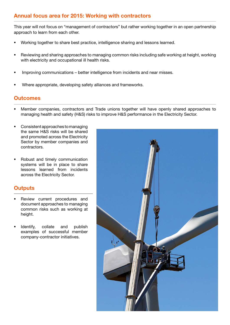# Annual focus area for 2015: Working with contractors

This year will not focus on "management of contractors" but rather working together in an open partnership approach to learn from each other.

- Working together to share best practice, intelligence sharing and lessons learned.
- Reviewing and sharing approaches to managing common risks including safe working at height, working with electricity and occupational ill health risks.
- **Improving communications better intelligence from incidents and near misses.**
- Where appropriate, developing safety alliances and frameworks.

## **Outcomes**

- Member companies, contractors and Trade unions together will have openly shared approaches to managing health and safety (H&S) risks to improve H&S performance in the Electricity Sector.
- Consistent approaches to managing the same H&S risks will be shared and promoted across the Electricity Sector by member companies and contractors.
- Robust and timely communication systems will be in place to share lessons learned from incidents across the Electricity Sector.

## **Outputs**

- Review current procedures and document approaches to managing common risks such as working at height.
- Identify, collate and publish examples of successful member company-contractor initiatives.